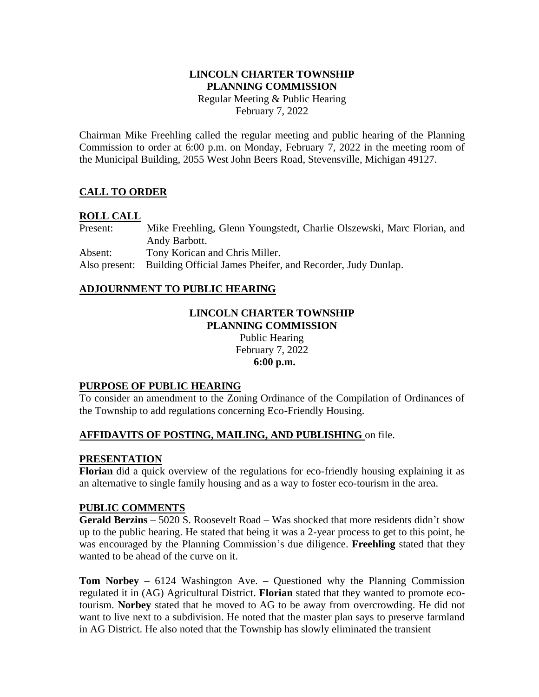# **LINCOLN CHARTER TOWNSHIP PLANNING COMMISSION**

Regular Meeting & Public Hearing February 7, 2022

Chairman Mike Freehling called the regular meeting and public hearing of the Planning Commission to order at 6:00 p.m. on Monday, February 7, 2022 in the meeting room of the Municipal Building, 2055 West John Beers Road, Stevensville, Michigan 49127.

# **CALL TO ORDER**

## **ROLL CALL**

Present: Mike Freehling, Glenn Youngstedt, Charlie Olszewski, Marc Florian, and Andy Barbott. Absent: Tony Korican and Chris Miller. Also present: Building Official James Pheifer, and Recorder, Judy Dunlap.

## **ADJOURNMENT TO PUBLIC HEARING**

#### **LINCOLN CHARTER TOWNSHIP PLANNING COMMISSION**

Public Hearing February 7, 2022 **6:00 p.m.**

## **PURPOSE OF PUBLIC HEARING**

To consider an amendment to the Zoning Ordinance of the Compilation of Ordinances of the Township to add regulations concerning Eco-Friendly Housing.

# **AFFIDAVITS OF POSTING, MAILING, AND PUBLISHING** on file.

## **PRESENTATION**

**Florian** did a quick overview of the regulations for eco-friendly housing explaining it as an alternative to single family housing and as a way to foster eco-tourism in the area.

## **PUBLIC COMMENTS**

**Gerald Berzins** – 5020 S. Roosevelt Road – Was shocked that more residents didn't show up to the public hearing. He stated that being it was a 2-year process to get to this point, he was encouraged by the Planning Commission's due diligence. **Freehling** stated that they wanted to be ahead of the curve on it.

**Tom Norbey** – 6124 Washington Ave. – Questioned why the Planning Commission regulated it in (AG) Agricultural District. **Florian** stated that they wanted to promote ecotourism. **Norbey** stated that he moved to AG to be away from overcrowding. He did not want to live next to a subdivision. He noted that the master plan says to preserve farmland in AG District. He also noted that the Township has slowly eliminated the transient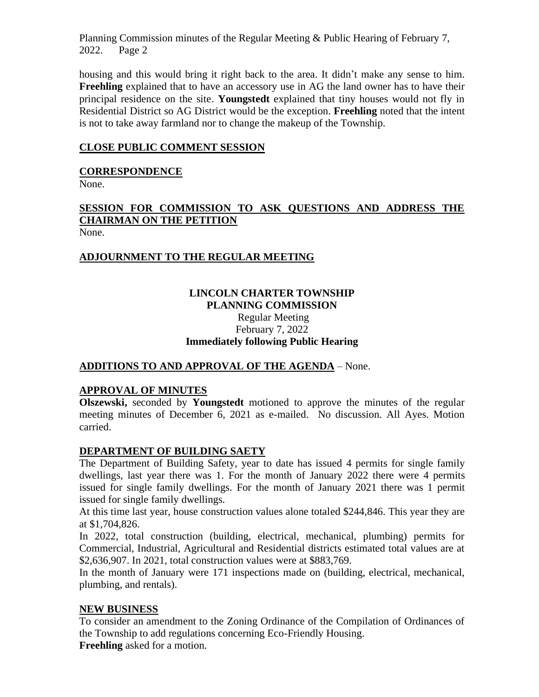Planning Commission minutes of the Regular Meeting & Public Hearing of February 7, 2022. Page 2

housing and this would bring it right back to the area. It didn't make any sense to him. **Freehling** explained that to have an accessory use in AG the land owner has to have their principal residence on the site. **Youngstedt** explained that tiny houses would not fly in Residential District so AG District would be the exception. **Freehling** noted that the intent is not to take away farmland nor to change the makeup of the Township.

## **CLOSE PUBLIC COMMENT SESSION**

## **CORRESPONDENCE**

None.

# **SESSION FOR COMMISSION TO ASK QUESTIONS AND ADDRESS THE CHAIRMAN ON THE PETITION**

None.

# **ADJOURNMENT TO THE REGULAR MEETING**

## **LINCOLN CHARTER TOWNSHIP PLANNING COMMISSION**

# Regular Meeting February 7, 2022 **Immediately following Public Hearing**

# **ADDITIONS TO AND APPROVAL OF THE AGENDA** – None.

# **APPROVAL OF MINUTES**

**Olszewski,** seconded by **Youngstedt** motioned to approve the minutes of the regular meeting minutes of December 6, 2021 as e-mailed. No discussion. All Ayes. Motion carried.

## **DEPARTMENT OF BUILDING SAETY**

The Department of Building Safety, year to date has issued 4 permits for single family dwellings, last year there was 1. For the month of January 2022 there were 4 permits issued for single family dwellings. For the month of January 2021 there was 1 permit issued for single family dwellings.

At this time last year, house construction values alone totaled \$244,846. This year they are at \$1,704,826.

In 2022, total construction (building, electrical, mechanical, plumbing) permits for Commercial, Industrial, Agricultural and Residential districts estimated total values are at \$2,636,907. In 2021, total construction values were at \$883,769.

In the month of January were 171 inspections made on (building, electrical, mechanical, plumbing, and rentals).

## **NEW BUSINESS**

To consider an amendment to the Zoning Ordinance of the Compilation of Ordinances of the Township to add regulations concerning Eco-Friendly Housing. **Freehling** asked for a motion.